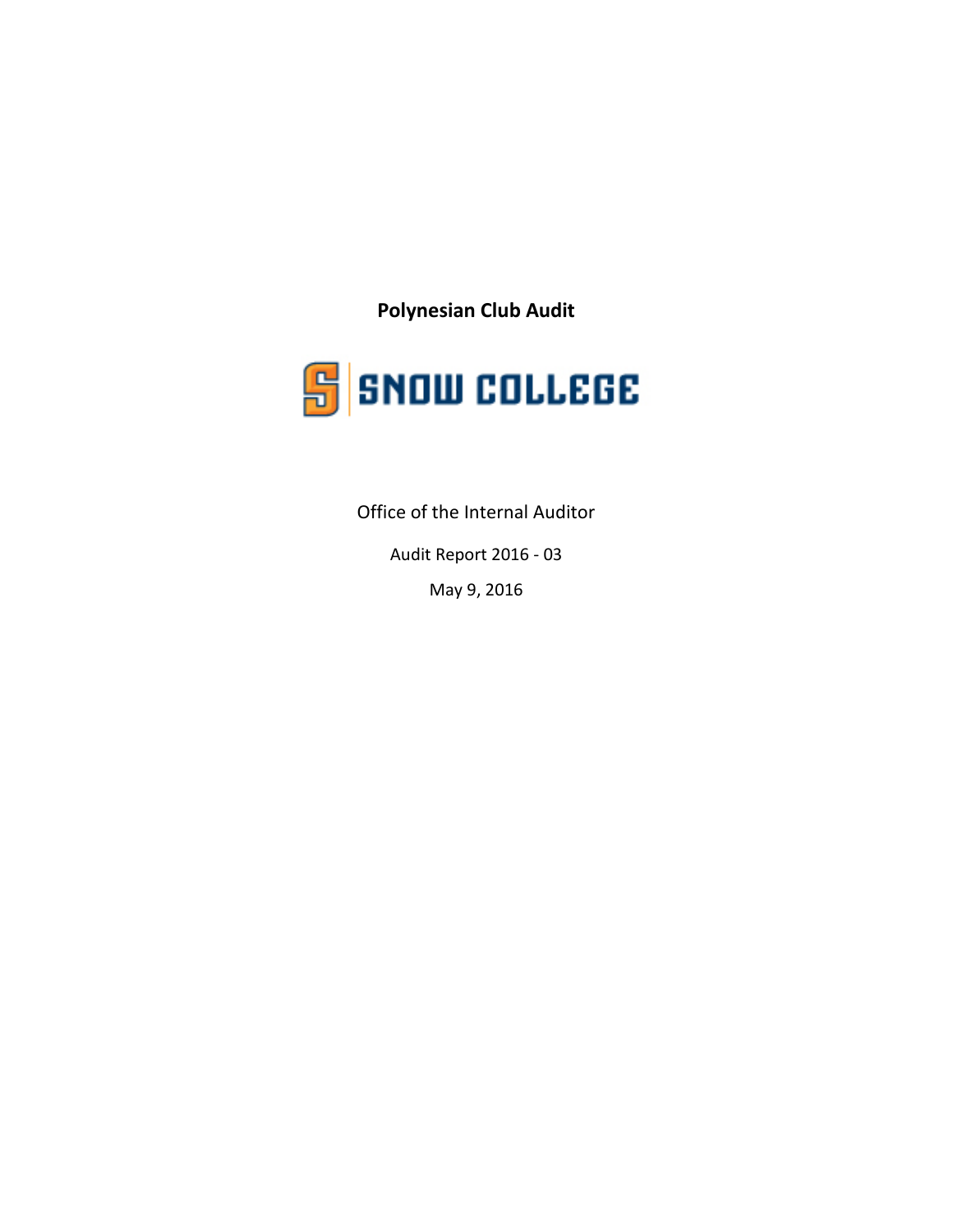**Polynesian Club Audit**



Office of the Internal Auditor

Audit Report 2016 - 03

May 9, 2016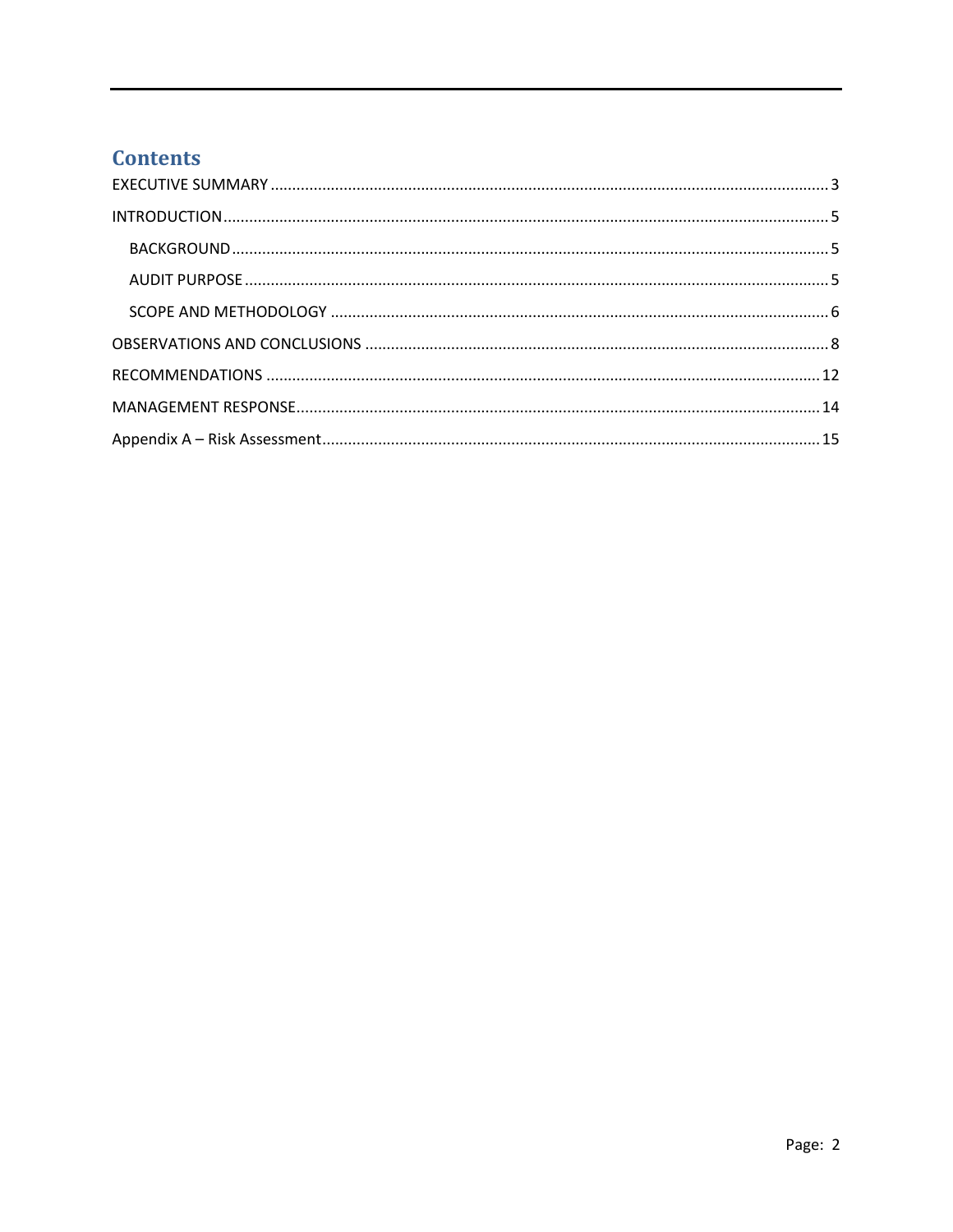## **Contents**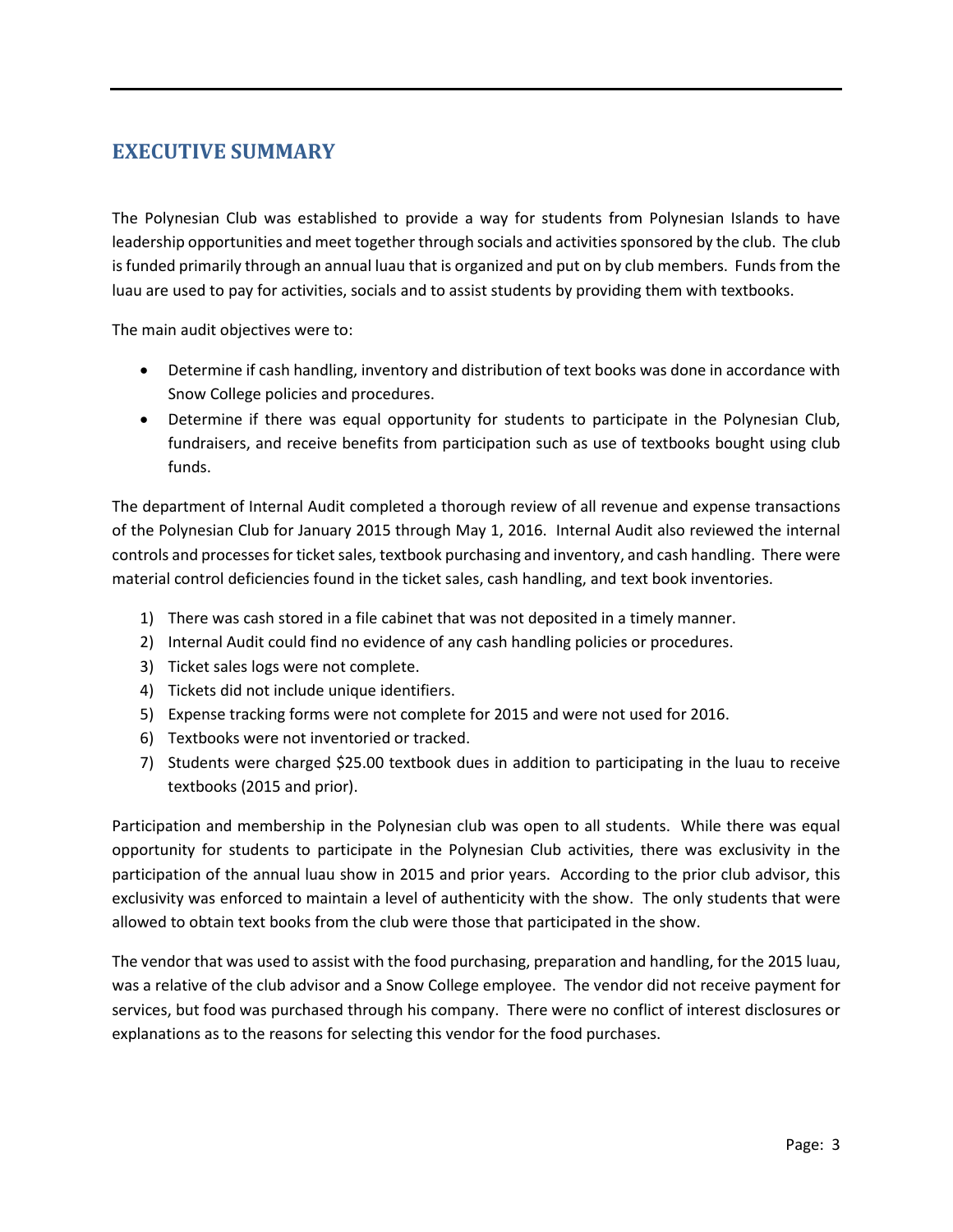## <span id="page-2-0"></span>**EXECUTIVE SUMMARY**

The Polynesian Club was established to provide a way for students from Polynesian Islands to have leadership opportunities and meet together through socials and activities sponsored by the club. The club is funded primarily through an annual luau that is organized and put on by club members. Funds from the luau are used to pay for activities, socials and to assist students by providing them with textbooks.

The main audit objectives were to:

- Determine if cash handling, inventory and distribution of text books was done in accordance with Snow College policies and procedures.
- Determine if there was equal opportunity for students to participate in the Polynesian Club, fundraisers, and receive benefits from participation such as use of textbooks bought using club funds.

The department of Internal Audit completed a thorough review of all revenue and expense transactions of the Polynesian Club for January 2015 through May 1, 2016. Internal Audit also reviewed the internal controls and processes for ticket sales, textbook purchasing and inventory, and cash handling. There were material control deficiencies found in the ticket sales, cash handling, and text book inventories.

- 1) There was cash stored in a file cabinet that was not deposited in a timely manner.
- 2) Internal Audit could find no evidence of any cash handling policies or procedures.
- 3) Ticket sales logs were not complete.
- 4) Tickets did not include unique identifiers.
- 5) Expense tracking forms were not complete for 2015 and were not used for 2016.
- 6) Textbooks were not inventoried or tracked.
- 7) Students were charged \$25.00 textbook dues in addition to participating in the luau to receive textbooks (2015 and prior).

Participation and membership in the Polynesian club was open to all students. While there was equal opportunity for students to participate in the Polynesian Club activities, there was exclusivity in the participation of the annual luau show in 2015 and prior years. According to the prior club advisor, this exclusivity was enforced to maintain a level of authenticity with the show. The only students that were allowed to obtain text books from the club were those that participated in the show.

The vendor that was used to assist with the food purchasing, preparation and handling, for the 2015 luau, was a relative of the club advisor and a Snow College employee. The vendor did not receive payment for services, but food was purchased through his company. There were no conflict of interest disclosures or explanations as to the reasons for selecting this vendor for the food purchases.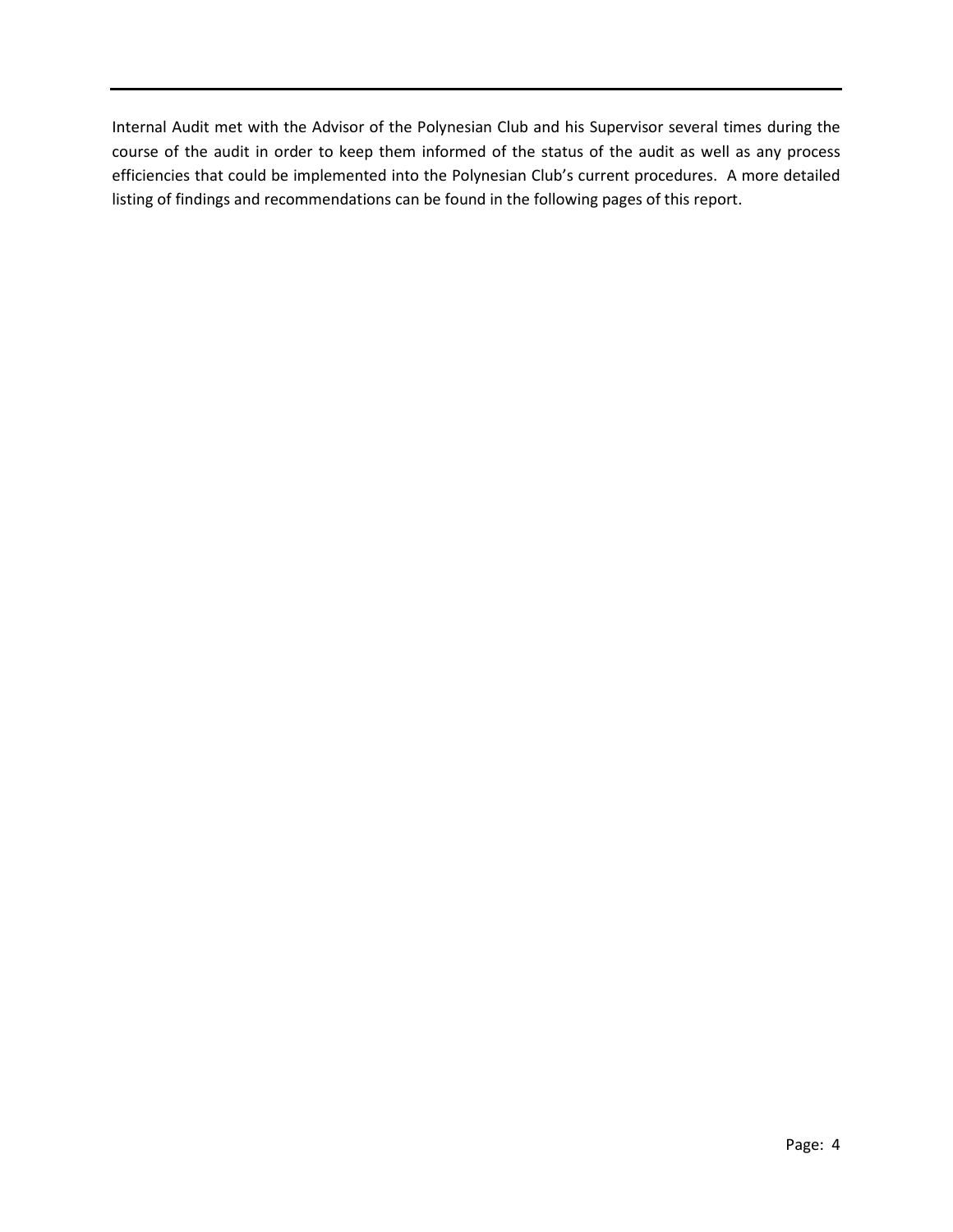Internal Audit met with the Advisor of the Polynesian Club and his Supervisor several times during the course of the audit in order to keep them informed of the status of the audit as well as any process efficiencies that could be implemented into the Polynesian Club's current procedures. A more detailed listing of findings and recommendations can be found in the following pages of this report.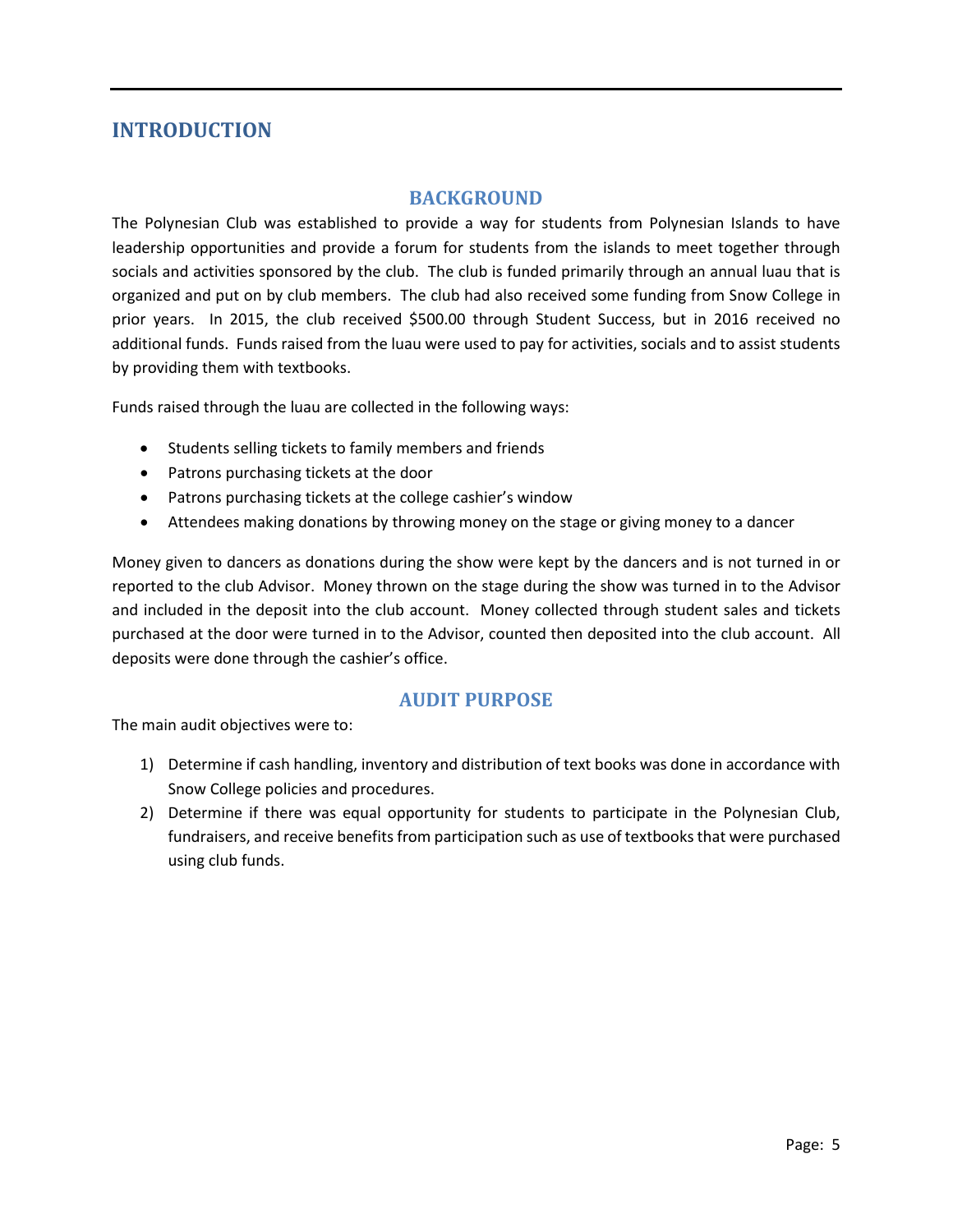## <span id="page-4-0"></span>**INTRODUCTION**

#### **BACKGROUND**

<span id="page-4-1"></span>The Polynesian Club was established to provide a way for students from Polynesian Islands to have leadership opportunities and provide a forum for students from the islands to meet together through socials and activities sponsored by the club. The club is funded primarily through an annual luau that is organized and put on by club members. The club had also received some funding from Snow College in prior years. In 2015, the club received \$500.00 through Student Success, but in 2016 received no additional funds. Funds raised from the luau were used to pay for activities, socials and to assist students by providing them with textbooks.

Funds raised through the luau are collected in the following ways:

- Students selling tickets to family members and friends
- Patrons purchasing tickets at the door
- Patrons purchasing tickets at the college cashier's window
- Attendees making donations by throwing money on the stage or giving money to a dancer

Money given to dancers as donations during the show were kept by the dancers and is not turned in or reported to the club Advisor. Money thrown on the stage during the show was turned in to the Advisor and included in the deposit into the club account. Money collected through student sales and tickets purchased at the door were turned in to the Advisor, counted then deposited into the club account. All deposits were done through the cashier's office.

#### **AUDIT PURPOSE**

<span id="page-4-2"></span>The main audit objectives were to:

- 1) Determine if cash handling, inventory and distribution of text books was done in accordance with Snow College policies and procedures.
- 2) Determine if there was equal opportunity for students to participate in the Polynesian Club, fundraisers, and receive benefits from participation such as use of textbooksthat were purchased using club funds.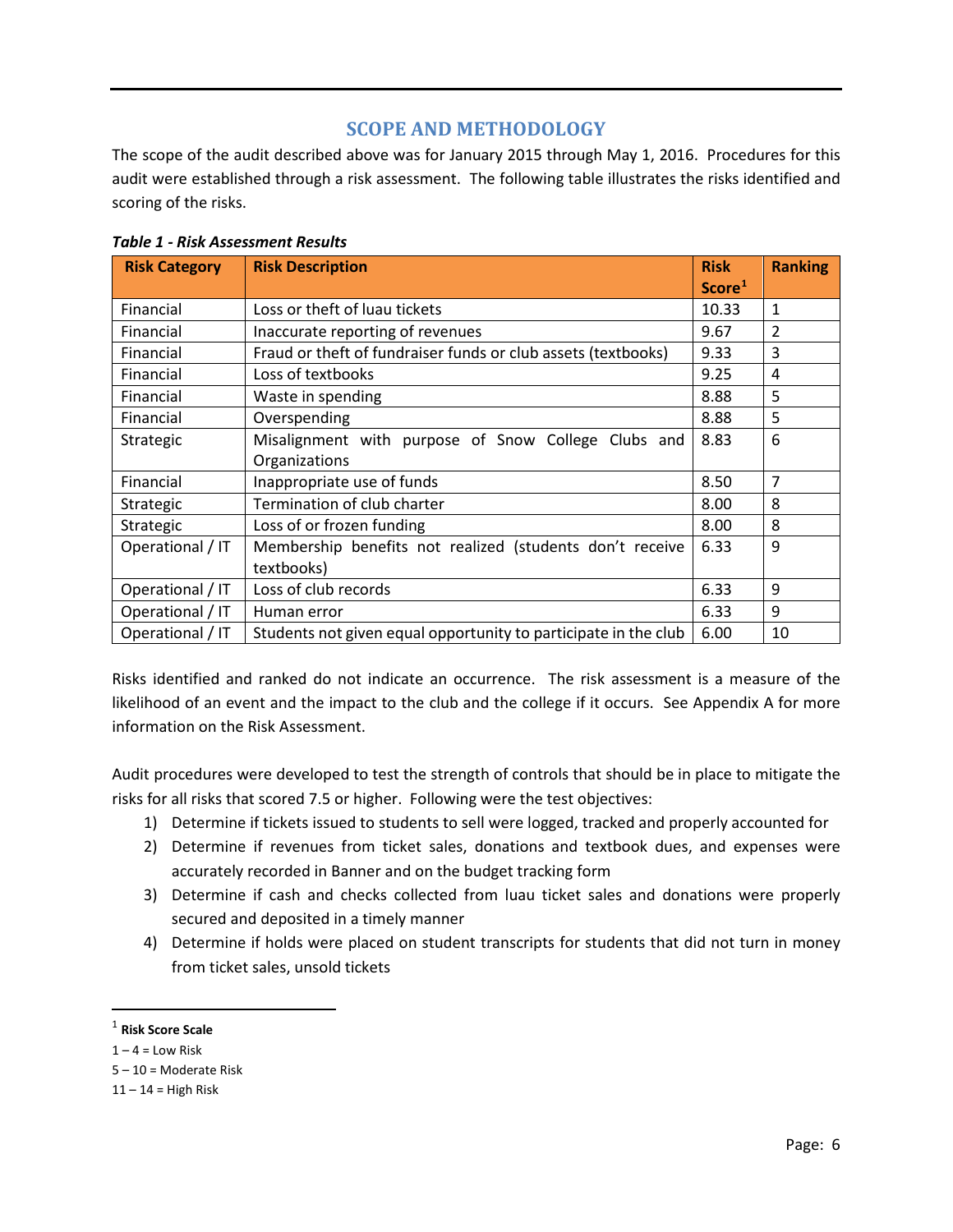#### **SCOPE AND METHODOLOGY**

<span id="page-5-0"></span>The scope of the audit described above was for January 2015 through May 1, 2016. Procedures for this audit were established through a risk assessment. The following table illustrates the risks identified and scoring of the risks.

| <b>Risk Category</b> | <b>Risk Description</b>                                         | <b>Risk</b>        | <b>Ranking</b> |
|----------------------|-----------------------------------------------------------------|--------------------|----------------|
|                      |                                                                 | Score <sup>1</sup> |                |
| Financial            | Loss or theft of luau tickets                                   | 10.33              | 1              |
| Financial            | Inaccurate reporting of revenues                                | 9.67               | $\overline{2}$ |
| Financial            | Fraud or theft of fundraiser funds or club assets (textbooks)   | 9.33               | 3              |
| Financial            | Loss of textbooks                                               | 9.25               | 4              |
| Financial            | Waste in spending                                               | 8.88               | 5              |
| Financial            | Overspending                                                    | 8.88               | 5              |
| Strategic            | Misalignment with purpose of Snow College Clubs and             | 8.83               | 6              |
|                      | Organizations                                                   |                    |                |
| Financial            | Inappropriate use of funds                                      | 8.50               | 7              |
| Strategic            | Termination of club charter                                     | 8.00               | 8              |
| Strategic            | Loss of or frozen funding                                       | 8.00               | 8              |
| Operational / IT     | Membership benefits not realized (students don't receive        | 6.33               | 9              |
|                      | textbooks)                                                      |                    |                |
| Operational / IT     | Loss of club records                                            | 6.33               | 9              |
| Operational / IT     | Human error                                                     | 6.33               | 9              |
| Operational / IT     | Students not given equal opportunity to participate in the club | 6.00               | 10             |

*Table 1 - Risk Assessment Results*

Risks identified and ranked do not indicate an occurrence. The risk assessment is a measure of the likelihood of an event and the impact to the club and the college if it occurs. See Appendix A for more information on the Risk Assessment.

Audit procedures were developed to test the strength of controls that should be in place to mitigate the risks for all risks that scored 7.5 or higher. Following were the test objectives:

- 1) Determine if tickets issued to students to sell were logged, tracked and properly accounted for
- 2) Determine if revenues from ticket sales, donations and textbook dues, and expenses were accurately recorded in Banner and on the budget tracking form
- 3) Determine if cash and checks collected from luau ticket sales and donations were properly secured and deposited in a timely manner
- 4) Determine if holds were placed on student transcripts for students that did not turn in money from ticket sales, unsold tickets

<span id="page-5-1"></span> <sup>1</sup> **Risk Score Scale**

 $1 - 4 =$  Low Risk

<sup>5 –</sup> 10 = Moderate Risk

 $11 - 14 =$  High Risk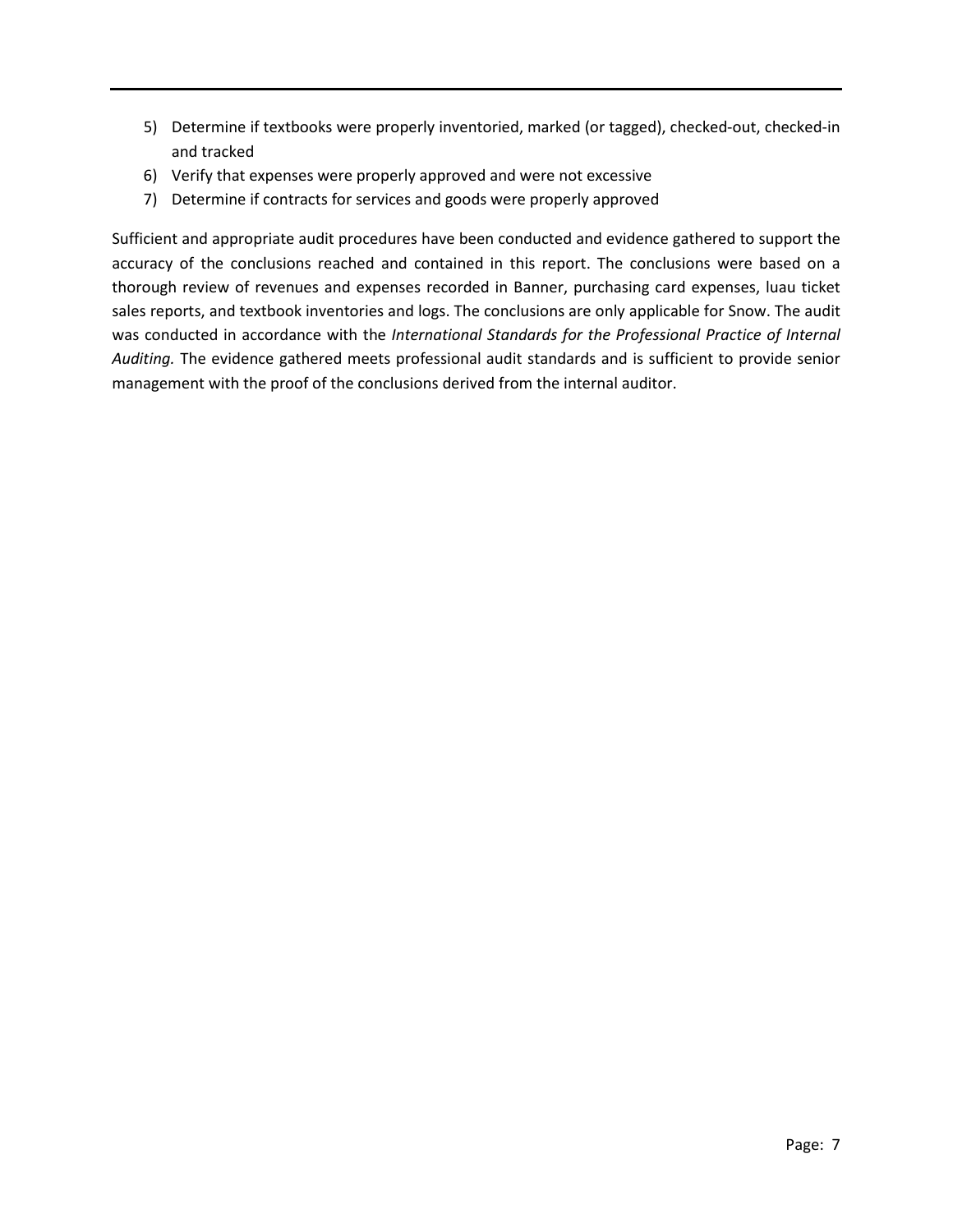- 5) Determine if textbooks were properly inventoried, marked (or tagged), checked-out, checked-in and tracked
- 6) Verify that expenses were properly approved and were not excessive
- 7) Determine if contracts for services and goods were properly approved

Sufficient and appropriate audit procedures have been conducted and evidence gathered to support the accuracy of the conclusions reached and contained in this report. The conclusions were based on a thorough review of revenues and expenses recorded in Banner, purchasing card expenses, luau ticket sales reports, and textbook inventories and logs. The conclusions are only applicable for Snow. The audit was conducted in accordance with the *International Standards for the Professional Practice of Internal Auditing.* The evidence gathered meets professional audit standards and is sufficient to provide senior management with the proof of the conclusions derived from the internal auditor.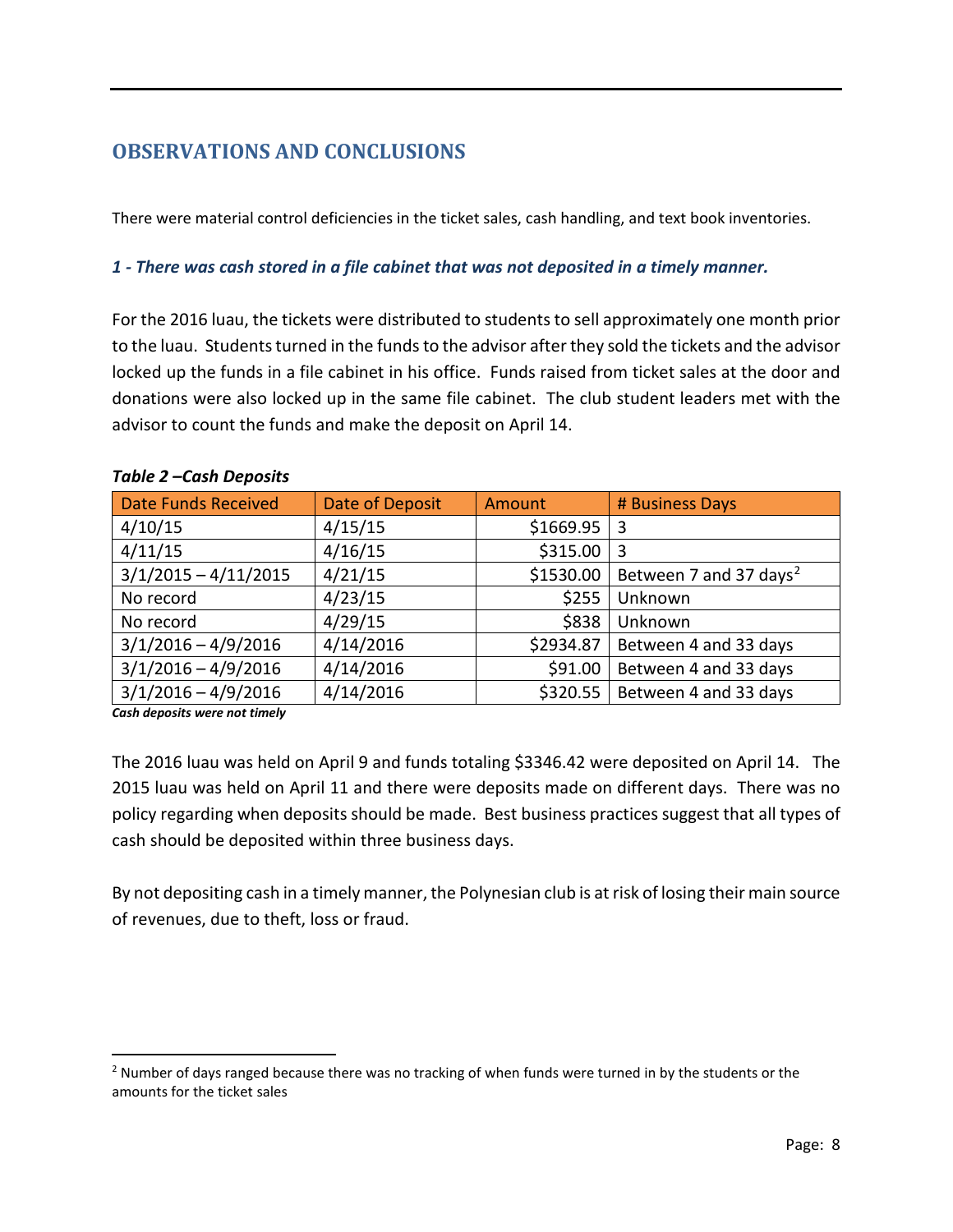## <span id="page-7-0"></span>**OBSERVATIONS AND CONCLUSIONS**

There were material control deficiencies in the ticket sales, cash handling, and text book inventories.

#### *1 - There was cash stored in a file cabinet that was not deposited in a timely manner.*

For the 2016 luau, the tickets were distributed to students to sell approximately one month prior to the luau. Students turned in the funds to the advisor after they sold the tickets and the advisor locked up the funds in a file cabinet in his office. Funds raised from ticket sales at the door and donations were also locked up in the same file cabinet. The club student leaders met with the advisor to count the funds and make the deposit on April 14.

| <b>Date Funds Received</b> | Date of Deposit | Amount    | # Business Days                    |
|----------------------------|-----------------|-----------|------------------------------------|
| 4/10/15                    | 4/15/15         | \$1669.95 | 3                                  |
| 4/11/15                    | 4/16/15         | \$315.00  | 3                                  |
| $3/1/2015 - 4/11/2015$     | 4/21/15         | \$1530.00 | Between 7 and 37 days <sup>2</sup> |
| No record                  | 4/23/15         | \$255     | Unknown                            |
| No record                  | 4/29/15         | \$838     | Unknown                            |
| $3/1/2016 - 4/9/2016$      | 4/14/2016       | \$2934.87 | Between 4 and 33 days              |
| $3/1/2016 - 4/9/2016$      | 4/14/2016       | \$91.00   | Between 4 and 33 days              |
| $3/1/2016 - 4/9/2016$      | 4/14/2016       | \$320.55  | Between 4 and 33 days              |

#### *Table 2 –Cash Deposits*

*Cash deposits were not timely*

The 2016 luau was held on April 9 and funds totaling \$3346.42 were deposited on April 14. The 2015 luau was held on April 11 and there were deposits made on different days. There was no policy regarding when deposits should be made. Best business practices suggest that all types of cash should be deposited within three business days.

By not depositing cash in a timely manner, the Polynesian club is at risk of losing their main source of revenues, due to theft, loss or fraud.

<span id="page-7-1"></span><sup>&</sup>lt;sup>2</sup> Number of days ranged because there was no tracking of when funds were turned in by the students or the amounts for the ticket sales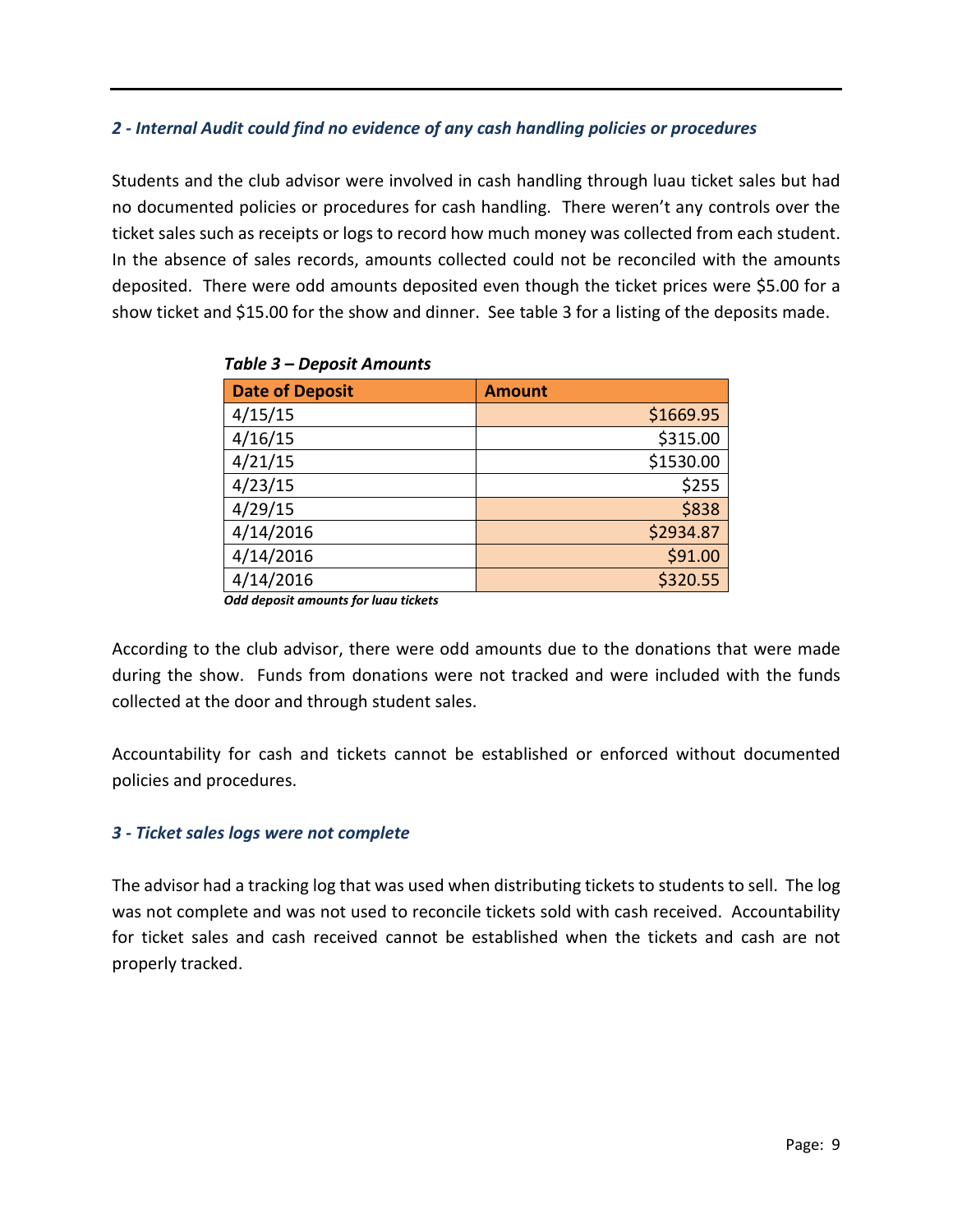#### *2 - Internal Audit could find no evidence of any cash handling policies or procedures*

Students and the club advisor were involved in cash handling through luau ticket sales but had no documented policies or procedures for cash handling. There weren't any controls over the ticket sales such as receipts or logs to record how much money was collected from each student. In the absence of sales records, amounts collected could not be reconciled with the amounts deposited. There were odd amounts deposited even though the ticket prices were \$5.00 for a show ticket and \$15.00 for the show and dinner. See table 3 for a listing of the deposits made.

| <b>Date of Deposit</b> | <b>Amount</b> |
|------------------------|---------------|
| 4/15/15                | \$1669.95     |
| 4/16/15                | \$315.00      |
| 4/21/15                | \$1530.00     |
| 4/23/15                | \$255         |
| 4/29/15                | \$838         |
| 4/14/2016              | \$2934.87     |
| 4/14/2016              | \$91.00       |
| 4/14/2016              | \$320.55      |

*Table 3 – Deposit Amounts*

*Odd deposit amounts for luau tickets* 

According to the club advisor, there were odd amounts due to the donations that were made during the show. Funds from donations were not tracked and were included with the funds collected at the door and through student sales.

Accountability for cash and tickets cannot be established or enforced without documented policies and procedures.

#### *3 - Ticket sales logs were not complete*

The advisor had a tracking log that was used when distributing tickets to students to sell. The log was not complete and was not used to reconcile tickets sold with cash received. Accountability for ticket sales and cash received cannot be established when the tickets and cash are not properly tracked.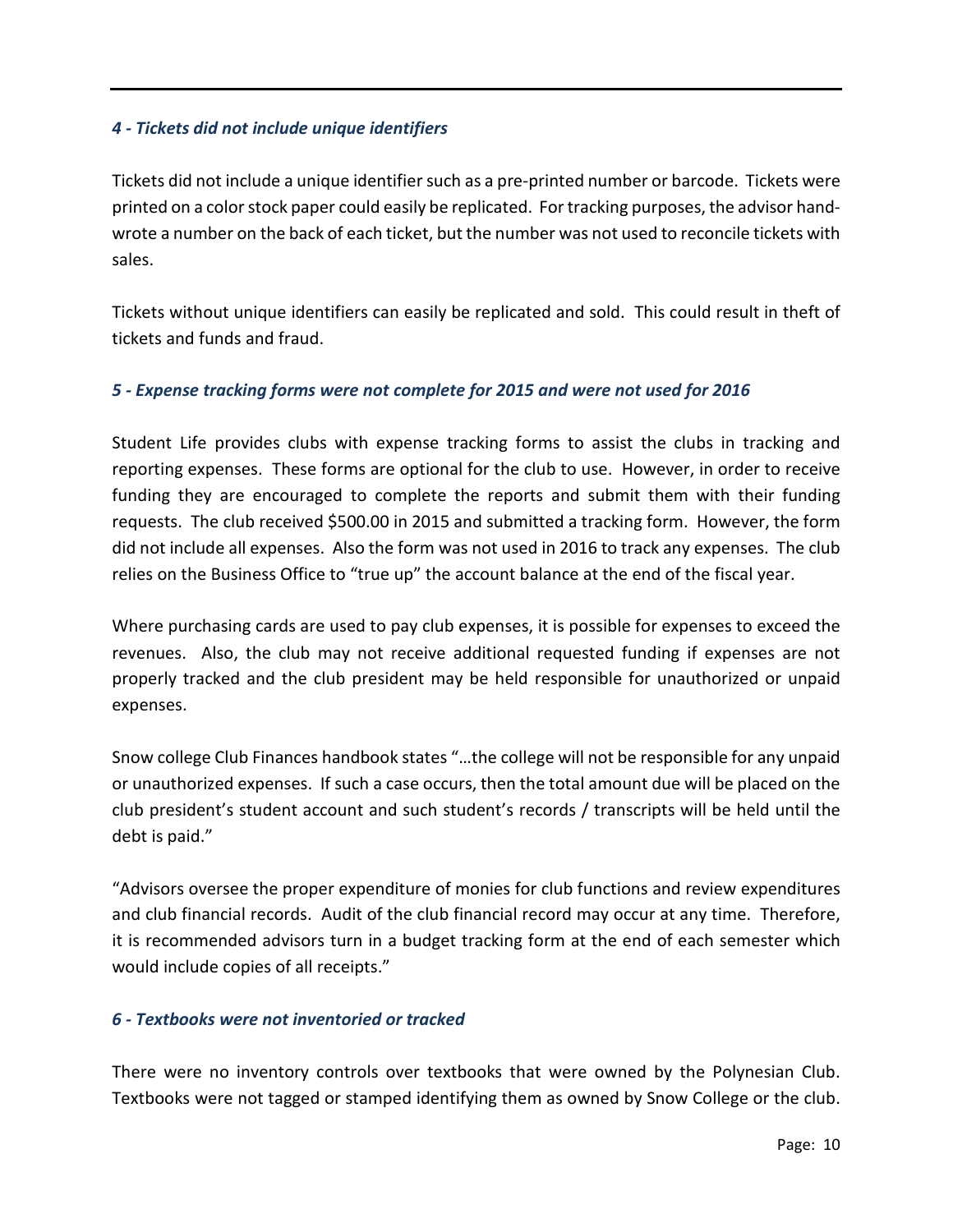#### *4 - Tickets did not include unique identifiers*

Tickets did not include a unique identifier such as a pre-printed number or barcode. Tickets were printed on a color stock paper could easily be replicated. For tracking purposes, the advisor handwrote a number on the back of each ticket, but the number was not used to reconcile tickets with sales.

Tickets without unique identifiers can easily be replicated and sold. This could result in theft of tickets and funds and fraud.

#### *5 - Expense tracking forms were not complete for 2015 and were not used for 2016*

Student Life provides clubs with expense tracking forms to assist the clubs in tracking and reporting expenses. These forms are optional for the club to use. However, in order to receive funding they are encouraged to complete the reports and submit them with their funding requests. The club received \$500.00 in 2015 and submitted a tracking form. However, the form did not include all expenses. Also the form was not used in 2016 to track any expenses. The club relies on the Business Office to "true up" the account balance at the end of the fiscal year.

Where purchasing cards are used to pay club expenses, it is possible for expenses to exceed the revenues. Also, the club may not receive additional requested funding if expenses are not properly tracked and the club president may be held responsible for unauthorized or unpaid expenses.

Snow college Club Finances handbook states "…the college will not be responsible for any unpaid or unauthorized expenses. If such a case occurs, then the total amount due will be placed on the club president's student account and such student's records / transcripts will be held until the debt is paid."

"Advisors oversee the proper expenditure of monies for club functions and review expenditures and club financial records. Audit of the club financial record may occur at any time. Therefore, it is recommended advisors turn in a budget tracking form at the end of each semester which would include copies of all receipts."

#### *6 - Textbooks were not inventoried or tracked*

There were no inventory controls over textbooks that were owned by the Polynesian Club. Textbooks were not tagged or stamped identifying them as owned by Snow College or the club.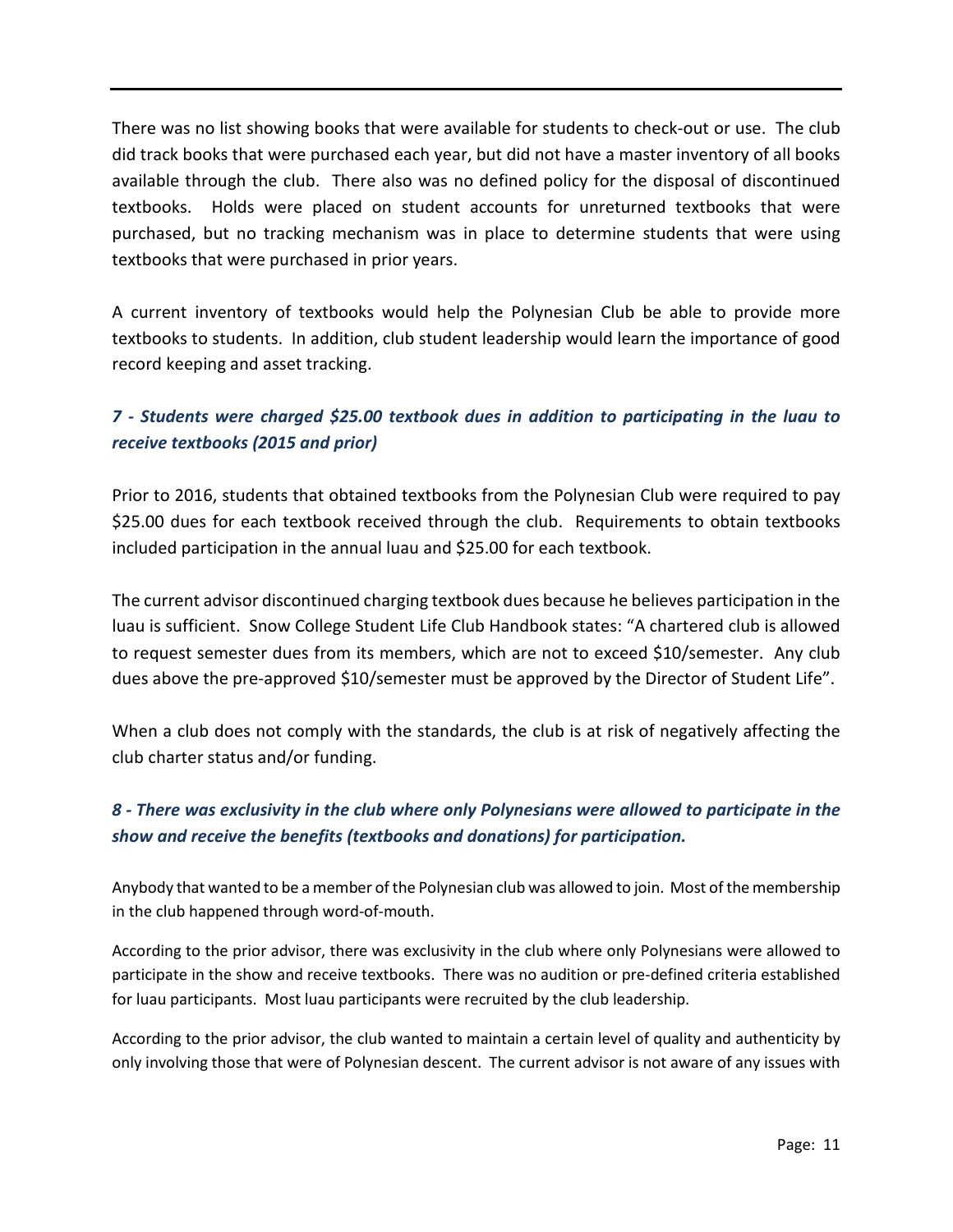There was no list showing books that were available for students to check-out or use. The club did track books that were purchased each year, but did not have a master inventory of all books available through the club. There also was no defined policy for the disposal of discontinued textbooks. Holds were placed on student accounts for unreturned textbooks that were purchased, but no tracking mechanism was in place to determine students that were using textbooks that were purchased in prior years.

A current inventory of textbooks would help the Polynesian Club be able to provide more textbooks to students. In addition, club student leadership would learn the importance of good record keeping and asset tracking.

## *7 - Students were charged \$25.00 textbook dues in addition to participating in the luau to receive textbooks (2015 and prior)*

Prior to 2016, students that obtained textbooks from the Polynesian Club were required to pay \$25.00 dues for each textbook received through the club. Requirements to obtain textbooks included participation in the annual luau and \$25.00 for each textbook.

The current advisor discontinued charging textbook dues because he believes participation in the luau is sufficient. Snow College Student Life Club Handbook states: "A chartered club is allowed to request semester dues from its members, which are not to exceed \$10/semester. Any club dues above the pre-approved \$10/semester must be approved by the Director of Student Life".

When a club does not comply with the standards, the club is at risk of negatively affecting the club charter status and/or funding.

## *8 - There was exclusivity in the club where only Polynesians were allowed to participate in the show and receive the benefits (textbooks and donations) for participation.*

Anybody that wanted to be a member of the Polynesian club was allowed to join. Most of the membership in the club happened through word-of-mouth.

According to the prior advisor, there was exclusivity in the club where only Polynesians were allowed to participate in the show and receive textbooks. There was no audition or pre-defined criteria established for luau participants. Most luau participants were recruited by the club leadership.

According to the prior advisor, the club wanted to maintain a certain level of quality and authenticity by only involving those that were of Polynesian descent. The current advisor is not aware of any issues with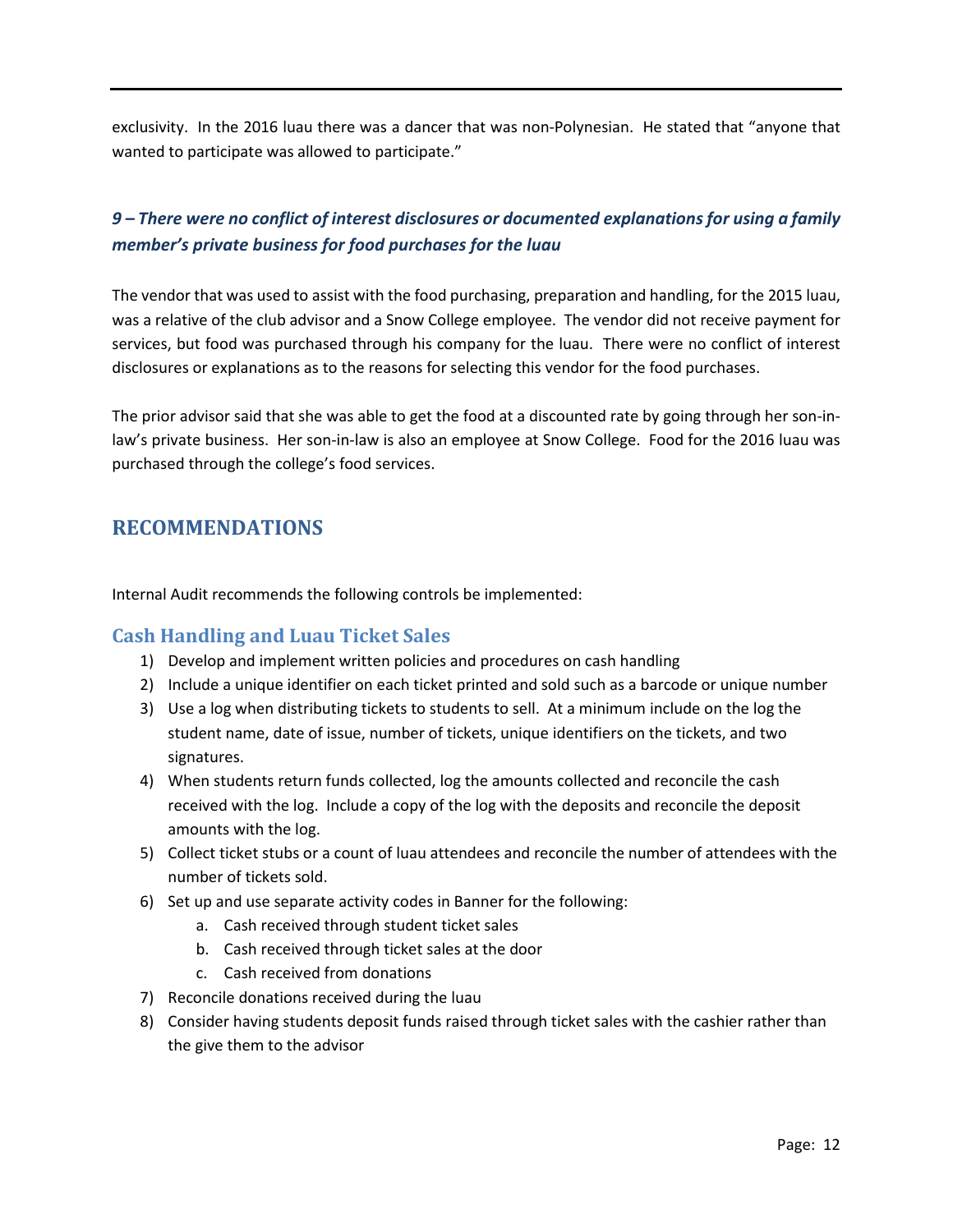exclusivity. In the 2016 luau there was a dancer that was non-Polynesian. He stated that "anyone that wanted to participate was allowed to participate."

## *9 – There were no conflict of interest disclosures or documented explanations for using a family member's private business for food purchases for the luau*

The vendor that was used to assist with the food purchasing, preparation and handling, for the 2015 luau, was a relative of the club advisor and a Snow College employee. The vendor did not receive payment for services, but food was purchased through his company for the luau. There were no conflict of interest disclosures or explanations as to the reasons for selecting this vendor for the food purchases.

The prior advisor said that she was able to get the food at a discounted rate by going through her son-inlaw's private business. Her son-in-law is also an employee at Snow College. Food for the 2016 luau was purchased through the college's food services.

## <span id="page-11-0"></span>**RECOMMENDATIONS**

Internal Audit recommends the following controls be implemented:

#### **Cash Handling and Luau Ticket Sales**

- 1) Develop and implement written policies and procedures on cash handling
- 2) Include a unique identifier on each ticket printed and sold such as a barcode or unique number
- 3) Use a log when distributing tickets to students to sell. At a minimum include on the log the student name, date of issue, number of tickets, unique identifiers on the tickets, and two signatures.
- 4) When students return funds collected, log the amounts collected and reconcile the cash received with the log. Include a copy of the log with the deposits and reconcile the deposit amounts with the log.
- 5) Collect ticket stubs or a count of luau attendees and reconcile the number of attendees with the number of tickets sold.
- 6) Set up and use separate activity codes in Banner for the following:
	- a. Cash received through student ticket sales
	- b. Cash received through ticket sales at the door
	- c. Cash received from donations
- 7) Reconcile donations received during the luau
- 8) Consider having students deposit funds raised through ticket sales with the cashier rather than the give them to the advisor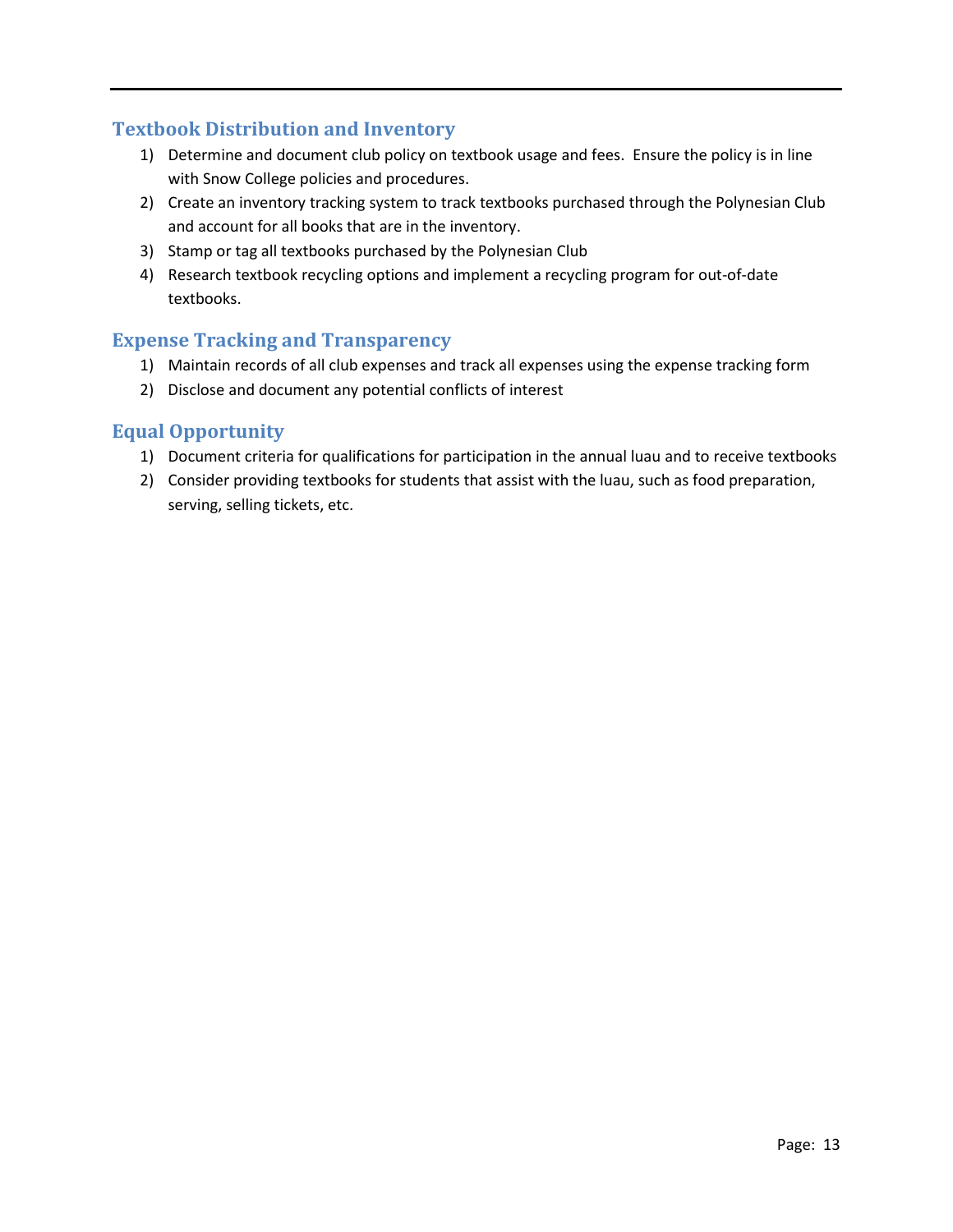#### **Textbook Distribution and Inventory**

- 1) Determine and document club policy on textbook usage and fees. Ensure the policy is in line with Snow College policies and procedures.
- 2) Create an inventory tracking system to track textbooks purchased through the Polynesian Club and account for all books that are in the inventory.
- 3) Stamp or tag all textbooks purchased by the Polynesian Club
- 4) Research textbook recycling options and implement a recycling program for out-of-date textbooks.

#### **Expense Tracking and Transparency**

- 1) Maintain records of all club expenses and track all expenses using the expense tracking form
- 2) Disclose and document any potential conflicts of interest

#### **Equal Opportunity**

- 1) Document criteria for qualifications for participation in the annual luau and to receive textbooks
- 2) Consider providing textbooks for students that assist with the luau, such as food preparation, serving, selling tickets, etc.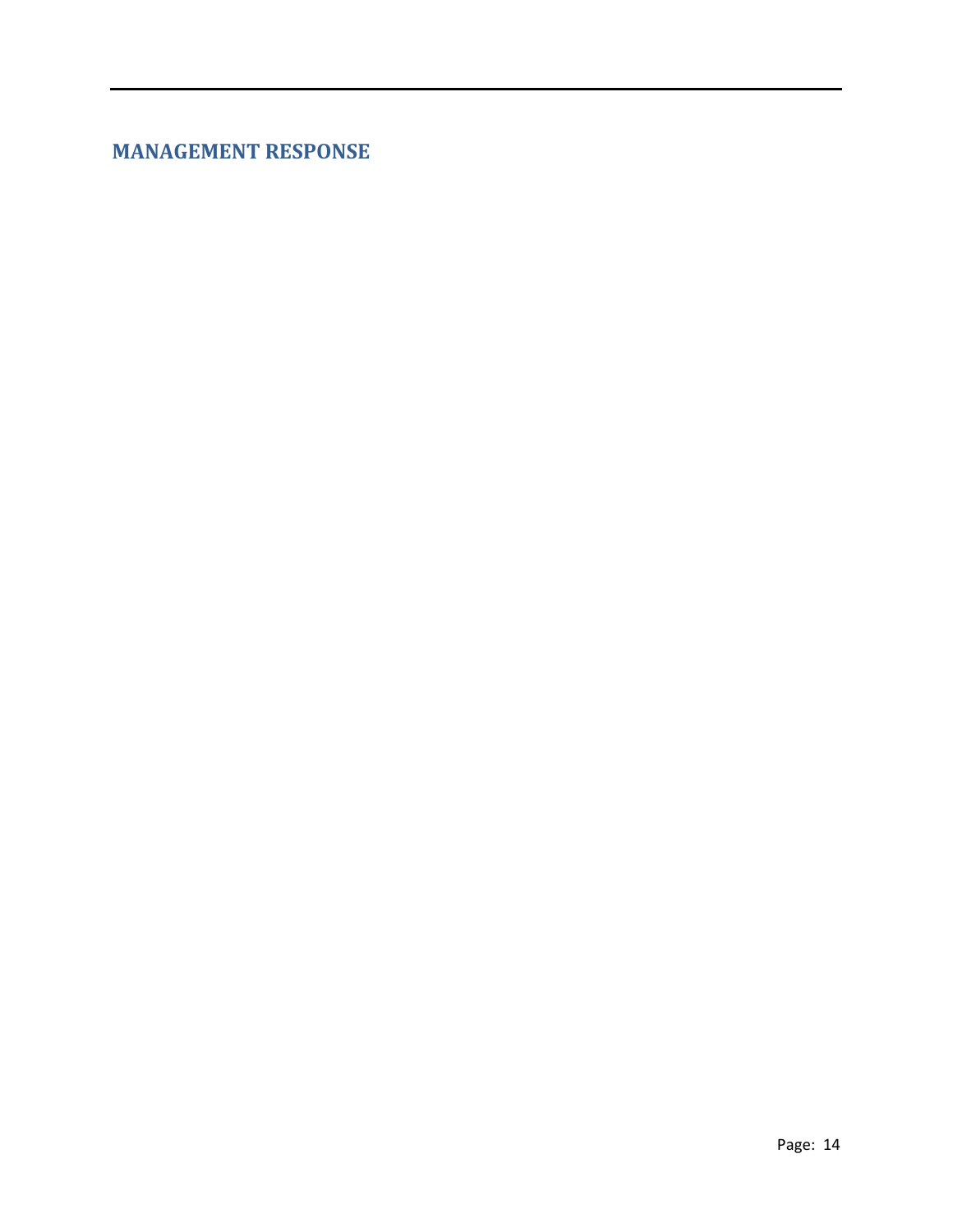<span id="page-13-0"></span>**MANAGEMENT RESPONSE**